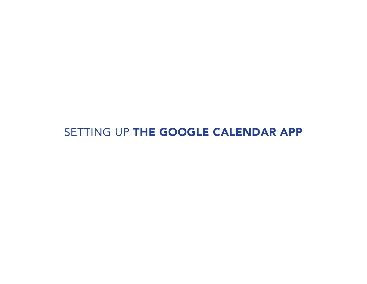# SETTING UP THE GOOGLE CALENDAR APP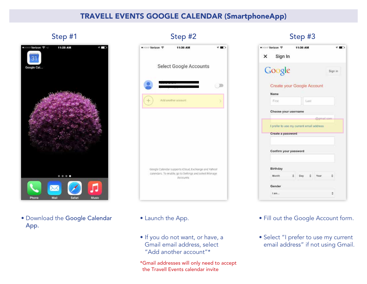

• Download the Google Calendar App.

| ● coo Verizon ? | 11:36 AM                                                                                                       |  |
|-----------------|----------------------------------------------------------------------------------------------------------------|--|
|                 | Select Google Accounts                                                                                         |  |
|                 |                                                                                                                |  |
|                 | Add another account                                                                                            |  |
|                 |                                                                                                                |  |
|                 | Google Calendar supports (Cloud, Exchange and Yahoo!<br>calendars. To enable, go to Settings and select Manage |  |

- Launch the App.
- If you do not want, or have, a Gmail email address, select "Add another account"\*

\*Gmail addresses will only need to accept the Travell Events calendar invite

## Step #1 Step #2 Step #3

| ● coo Verizon <                           | 11:36 AM   |            |              | <b>THE</b> |
|-------------------------------------------|------------|------------|--------------|------------|
| $X$ Sign In                               |            |            |              |            |
| Google                                    |            |            |              | Sign in    |
| Create your Google Account                |            |            |              |            |
| Name                                      |            |            |              |            |
| First.                                    |            | Last       |              |            |
| Choose your username                      |            |            |              |            |
|                                           |            |            | digmail.com- |            |
| I prefer to use my current email address. |            |            |              |            |
| Create a password                         |            |            |              |            |
|                                           |            |            |              |            |
| Confirm your password                     |            |            |              |            |
|                                           |            |            |              |            |
|                                           |            |            |              |            |
| Birthday                                  |            |            |              |            |
| Month                                     | $\div$ Day | $\ddot{z}$ | Year         |            |
|                                           |            |            |              |            |
| Gender                                    |            |            |              |            |

- Fill out the Google Account form.
- Select "I prefer to use my current email address" if not using Gmail.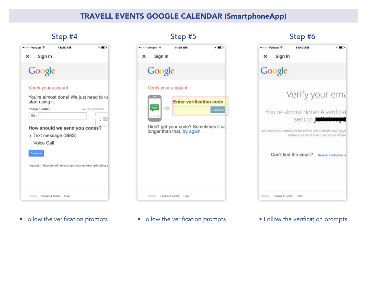| ●○○○○ Verizon <<br>11:38 AM                                 |     |
|-------------------------------------------------------------|-----|
| Sign In<br>×                                                |     |
| Google                                                      |     |
| Verify your account                                         |     |
| You're almost done! We just need to ve<br>start using it.   |     |
| Phone number<br>ex: (201) 555-5555                          |     |
| mi -                                                        | Goo |
| How should we send you codes?<br>· Text message (SMS)       |     |
| ◯ Voice Call                                                |     |
| Continue                                                    |     |
| Important: Google will never share your number with other a |     |
|                                                             |     |
| Google<br>Privacy & Terms<br>Help                           |     |

• Follow the verification prompts • Follow the verification prompts • Follow the verification prompts



# ● coo Verizon → 11:40 AM  $10$ Sign In  $\pmb{\times}$ Google Verify your ema You're almost done! A verificat sent to julialen Just check your email and follow the link to finish creating yo address, you'll be able to access all of God Can't find the email? Resend verification e Google Privacy & Terms Help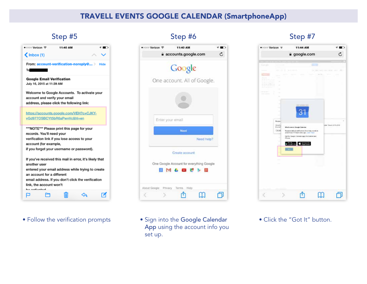| ●○○○○ Verizon <<br>11:40 AM<br>$\langle$ Inbox (1)                                                                                                                                                                                                        |
|-----------------------------------------------------------------------------------------------------------------------------------------------------------------------------------------------------------------------------------------------------------|
| From: account-verification-noreply@ ><br>Hide<br><b>To and the State of State Inc.</b>                                                                                                                                                                    |
| <b>Google Email Verification</b><br>July 16, 2015 at 11:39 AM                                                                                                                                                                                             |
| Welcome to Google Accounts. To activate your<br>account and verify your email<br>address, please click the following link:                                                                                                                                |
| https://accounts.google.com/VEH?c=CJKY-<br>vGd977OSBCYt5bR6aPwvVc&hl=en                                                                                                                                                                                   |
| ***NOTE*** Please print this page for your<br>records. You'll need your<br>verification link if you lose access to your<br>account (for example,<br>if you forget your username or password).                                                             |
| If you've received this mail in error, it's likely that<br>another user<br>entered your email address while trying to create<br>an account for a different<br>email address. If you don't click the verification<br>link, the account won't<br>اممغسبافمم |
|                                                                                                                                                                                                                                                           |

• Follow the verification prompts • Sign into the Google Calendar

| ● coo Verizon ?                 | 11:40 AM                                                            |    |
|---------------------------------|---------------------------------------------------------------------|----|
|                                 | a accounts.google.com                                               | c, |
|                                 | Google                                                              |    |
|                                 | One account. All of Google.                                         |    |
|                                 |                                                                     |    |
| Enter your email                |                                                                     |    |
|                                 | Next                                                                |    |
|                                 | Need help?                                                          |    |
|                                 | Create account                                                      |    |
|                                 | One Google Account for everything Google<br>8 M & <b>B # &gt; 8</b> |    |
| About Google Privacy Terms Help |                                                                     |    |
|                                 |                                                                     |    |

App using the account info you set up.

## Step #5 Step #6 Step #6 Step #7 Step #7



• Click the "Got It" button.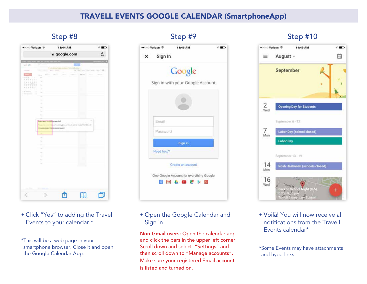| ● COOO Verizon →                                                                                              | 11:44 AM                                                                              |                                                                                                                                                                                                                                                                                                                                                                                                                                                                                             | ◐        |  |
|---------------------------------------------------------------------------------------------------------------|---------------------------------------------------------------------------------------|---------------------------------------------------------------------------------------------------------------------------------------------------------------------------------------------------------------------------------------------------------------------------------------------------------------------------------------------------------------------------------------------------------------------------------------------------------------------------------------------|----------|--|
|                                                                                                               | a google.com                                                                          |                                                                                                                                                                                                                                                                                                                                                                                                                                                                                             | Ċ        |  |
| Go-jpli<br><b>Terms</b>                                                                                       |                                                                                       |                                                                                                                                                                                                                                                                                                                                                                                                                                                                                             |          |  |
| <b>SHEETING</b>                                                                                               | $+111$<br>-134<br><b><i><u>Sales de concerto d</u></i></b><br>$40 - 24 + 44 - 24 + 3$ | For Cities                                                                                                                                                                                                                                                                                                                                                                                                                                                                                  | $12 -$   |  |
| <b>MARS</b><br>$\frac{1}{2} \left( \frac{1}{2} \right) \left( \frac{1}{2} \right) \left( \frac{1}{2} \right)$ | san Art<br><b>Service</b><br>-                                                        | time Print 11<br>$\frac{1}{2} \left( \frac{1}{2} \right) \left( \frac{1}{2} \right) \left( \frac{1}{2} \right) \left( \frac{1}{2} \right) \left( \frac{1}{2} \right) \left( \frac{1}{2} \right) \left( \frac{1}{2} \right) \left( \frac{1}{2} \right) \left( \frac{1}{2} \right) \left( \frac{1}{2} \right) \left( \frac{1}{2} \right) \left( \frac{1}{2} \right) \left( \frac{1}{2} \right) \left( \frac{1}{2} \right) \left( \frac{1}{2} \right) \left( \frac{1}{2} \right) \left( \frac$ | Service. |  |
| because in the<br>Jy.<br>16.6                                                                                 | $\sim$                                                                                | <b>PERSON</b>                                                                                                                                                                                                                                                                                                                                                                                                                                                                               |          |  |
| $\sim$                                                                                                        |                                                                                       |                                                                                                                                                                                                                                                                                                                                                                                                                                                                                             |          |  |
| ÷<br>$\frac{1}{2}$                                                                                            |                                                                                       |                                                                                                                                                                                                                                                                                                                                                                                                                                                                                             |          |  |
| 1.50 000 000<br>٠<br>$\sim$                                                                                   |                                                                                       |                                                                                                                                                                                                                                                                                                                                                                                                                                                                                             |          |  |
| a free down<br>٦<br>$\sim$                                                                                    |                                                                                       |                                                                                                                                                                                                                                                                                                                                                                                                                                                                                             |          |  |
| $\sim$                                                                                                        |                                                                                       |                                                                                                                                                                                                                                                                                                                                                                                                                                                                                             |          |  |
| $\sim$                                                                                                        |                                                                                       |                                                                                                                                                                                                                                                                                                                                                                                                                                                                                             |          |  |
| $\sim$                                                                                                        |                                                                                       |                                                                                                                                                                                                                                                                                                                                                                                                                                                                                             |          |  |
| ÷<br>$1 - 1$                                                                                                  |                                                                                       |                                                                                                                                                                                                                                                                                                                                                                                                                                                                                             |          |  |
|                                                                                                               |                                                                                       |                                                                                                                                                                                                                                                                                                                                                                                                                                                                                             |          |  |
|                                                                                                               | the pair work to with this calendar ?<br>M.                                           | $\omega$                                                                                                                                                                                                                                                                                                                                                                                                                                                                                    |          |  |
|                                                                                                               |                                                                                       | Tokyo protecting based                                                                                                                                                                                                                                                                                                                                                                                                                                                                      |          |  |
| <b>THE UNITED</b>                                                                                             | <b>RANGE CARD OF STREET, CONTROL</b>                                                  |                                                                                                                                                                                                                                                                                                                                                                                                                                                                                             |          |  |
|                                                                                                               |                                                                                       |                                                                                                                                                                                                                                                                                                                                                                                                                                                                                             |          |  |
| -                                                                                                             |                                                                                       |                                                                                                                                                                                                                                                                                                                                                                                                                                                                                             |          |  |
| <b>Signed</b>                                                                                                 |                                                                                       |                                                                                                                                                                                                                                                                                                                                                                                                                                                                                             |          |  |
| $\sim$                                                                                                        |                                                                                       |                                                                                                                                                                                                                                                                                                                                                                                                                                                                                             |          |  |
| $\sim$                                                                                                        |                                                                                       |                                                                                                                                                                                                                                                                                                                                                                                                                                                                                             |          |  |
| $\frac{1}{2} \left( \frac{1}{2} \right) \left( \frac{1}{2} \right)$                                           |                                                                                       |                                                                                                                                                                                                                                                                                                                                                                                                                                                                                             |          |  |
| <b>There</b>                                                                                                  |                                                                                       |                                                                                                                                                                                                                                                                                                                                                                                                                                                                                             |          |  |
| ۰.                                                                                                            |                                                                                       |                                                                                                                                                                                                                                                                                                                                                                                                                                                                                             |          |  |
|                                                                                                               |                                                                                       |                                                                                                                                                                                                                                                                                                                                                                                                                                                                                             |          |  |
|                                                                                                               |                                                                                       |                                                                                                                                                                                                                                                                                                                                                                                                                                                                                             |          |  |
|                                                                                                               |                                                                                       |                                                                                                                                                                                                                                                                                                                                                                                                                                                                                             |          |  |
|                                                                                                               |                                                                                       |                                                                                                                                                                                                                                                                                                                                                                                                                                                                                             |          |  |
|                                                                                                               |                                                                                       |                                                                                                                                                                                                                                                                                                                                                                                                                                                                                             |          |  |
|                                                                                                               |                                                                                       |                                                                                                                                                                                                                                                                                                                                                                                                                                                                                             |          |  |
|                                                                                                               |                                                                                       |                                                                                                                                                                                                                                                                                                                                                                                                                                                                                             |          |  |
| ì,                                                                                                            |                                                                                       |                                                                                                                                                                                                                                                                                                                                                                                                                                                                                             |          |  |

- Click "Yes" to adding the Travell Events to your calendar.\*
- \*This will be a web page in your smartphone browser. Close it and open the Google Calendar App.

## Step #8 Step #9 Step #9 Step #10 •• co Verizon ® 11:46 AM  $\rightarrow$ Sign In × Google Sign in with your Google Account Email Password Sign in Need help? Create an account One Google Account for everything Google **NM & DB # > NE**

• Open the Google Calendar and Sign in

Non-Gmail users: Open the calendar app and click the bars in the upper left corner. Scroll down and select "Settings" and then scroll down to "Manage accounts". Make sure your registered Email account is listed and turned on.



• Voilà! You will now receive all notifications from the Travell Events calendar\*

\*Some Events may have attachments and hyperlinks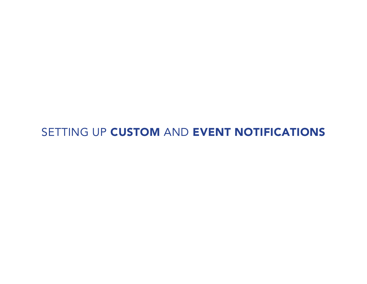# SETTING UP CUSTOM AND EVENT NOTIFICATIONS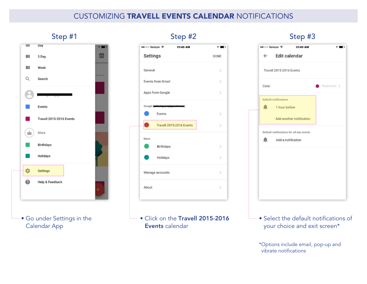## Customizing Travell Events Calendar Notifications



• Go under Settings in the Calendar App

## •• : Verizon <sup>®</sup> 10:49 AM  $\rightarrow$  00 Settings DONE General  $\mathcal{P}$ Events from Gmail  $\rightarrow$ Apps from Google  $\,$ Googl Events  $\rightarrow$ Travell 2015-2016 Events  $\,$ More Birthdays  $\,$ Holidays  $\,$ Manage accounts  $\,$ About  $\geq$

• Click on the Travell 2015-2016 Events calendar

## Step #1 Step #2 Step #3

| $\leftarrow$ Edit calendar<br>Travell 2015-2016 Events<br>Color<br>Default notifications<br>1 hour before<br>Add another notification<br>Default notifications for all day events<br>Add a notification |  | ●●○○○ Verizon <>>> 10:49 AM |             |
|---------------------------------------------------------------------------------------------------------------------------------------------------------------------------------------------------------|--|-----------------------------|-------------|
|                                                                                                                                                                                                         |  |                             |             |
|                                                                                                                                                                                                         |  |                             |             |
|                                                                                                                                                                                                         |  |                             | Radicchio > |
|                                                                                                                                                                                                         |  |                             |             |
|                                                                                                                                                                                                         |  |                             |             |
|                                                                                                                                                                                                         |  |                             |             |
|                                                                                                                                                                                                         |  |                             |             |
|                                                                                                                                                                                                         |  |                             |             |
|                                                                                                                                                                                                         |  |                             |             |
|                                                                                                                                                                                                         |  |                             |             |
|                                                                                                                                                                                                         |  |                             |             |
|                                                                                                                                                                                                         |  |                             |             |
|                                                                                                                                                                                                         |  |                             |             |

- Select the default notifications of your choice and exit screen\*
- \*Options include email, pop-up and vibrate notifications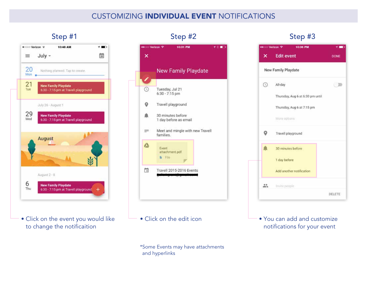## Customizing Individual Event Notifications



• Click on the event you would like to change the notificaition



• Click on the edit icon

\*Some Events may have attachments and hyperlinks



• You can add and customize notifications for your event